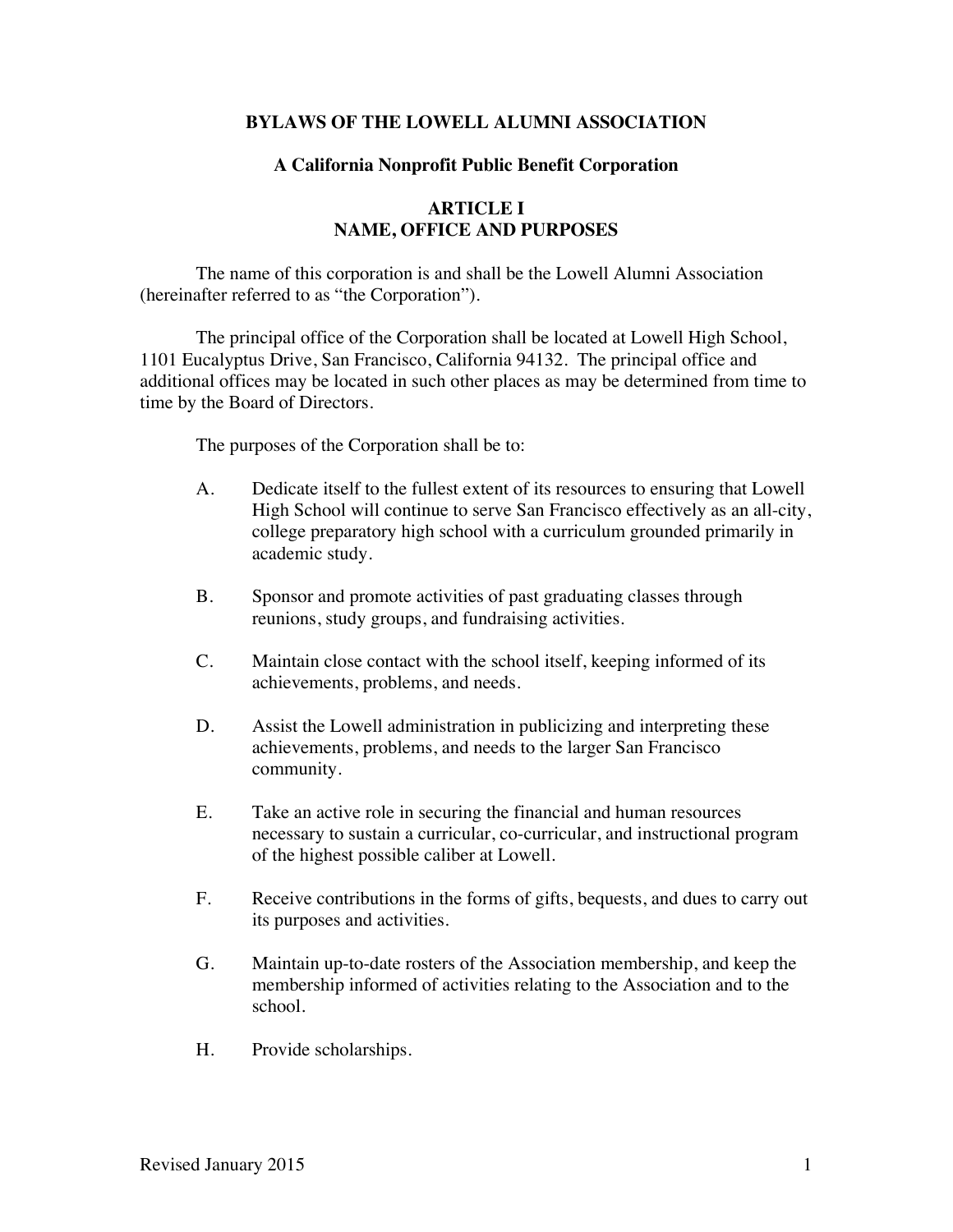## **BYLAWS OF THE LOWELL ALUMNI ASSOCIATION**

### **A California Nonprofit Public Benefit Corporation**

# **ARTICLE I NAME, OFFICE AND PURPOSES**

The name of this corporation is and shall be the Lowell Alumni Association (hereinafter referred to as "the Corporation").

The principal office of the Corporation shall be located at Lowell High School, 1101 Eucalyptus Drive, San Francisco, California 94132. The principal office and additional offices may be located in such other places as may be determined from time to time by the Board of Directors.

The purposes of the Corporation shall be to:

- A. Dedicate itself to the fullest extent of its resources to ensuring that Lowell High School will continue to serve San Francisco effectively as an all-city, college preparatory high school with a curriculum grounded primarily in academic study.
- B. Sponsor and promote activities of past graduating classes through reunions, study groups, and fundraising activities.
- C. Maintain close contact with the school itself, keeping informed of its achievements, problems, and needs.
- D. Assist the Lowell administration in publicizing and interpreting these achievements, problems, and needs to the larger San Francisco community.
- E. Take an active role in securing the financial and human resources necessary to sustain a curricular, co-curricular, and instructional program of the highest possible caliber at Lowell.
- F. Receive contributions in the forms of gifts, bequests, and dues to carry out its purposes and activities.
- G. Maintain up-to-date rosters of the Association membership, and keep the membership informed of activities relating to the Association and to the school.
- H. Provide scholarships.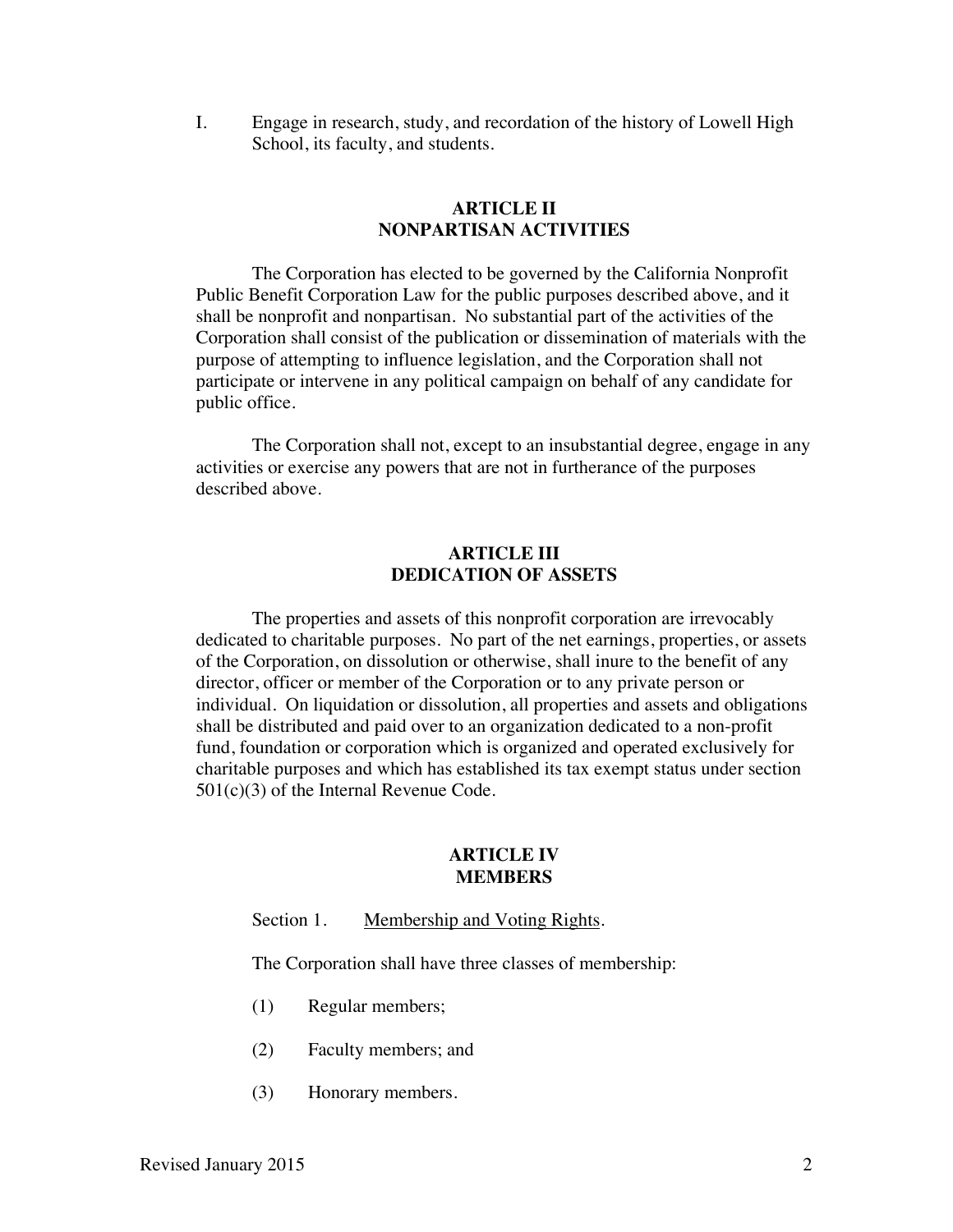I. Engage in research, study, and recordation of the history of Lowell High School, its faculty, and students.

# **ARTICLE II NONPARTISAN ACTIVITIES**

The Corporation has elected to be governed by the California Nonprofit Public Benefit Corporation Law for the public purposes described above, and it shall be nonprofit and nonpartisan. No substantial part of the activities of the Corporation shall consist of the publication or dissemination of materials with the purpose of attempting to influence legislation, and the Corporation shall not participate or intervene in any political campaign on behalf of any candidate for public office.

The Corporation shall not, except to an insubstantial degree, engage in any activities or exercise any powers that are not in furtherance of the purposes described above.

### **ARTICLE III DEDICATION OF ASSETS**

The properties and assets of this nonprofit corporation are irrevocably dedicated to charitable purposes. No part of the net earnings, properties, or assets of the Corporation, on dissolution or otherwise, shall inure to the benefit of any director, officer or member of the Corporation or to any private person or individual. On liquidation or dissolution, all properties and assets and obligations shall be distributed and paid over to an organization dedicated to a non-profit fund, foundation or corporation which is organized and operated exclusively for charitable purposes and which has established its tax exempt status under section 501(c)(3) of the Internal Revenue Code.

# **ARTICLE IV MEMBERS**

Section 1. Membership and Voting Rights.

The Corporation shall have three classes of membership:

- (1) Regular members;
- (2) Faculty members; and
- (3) Honorary members.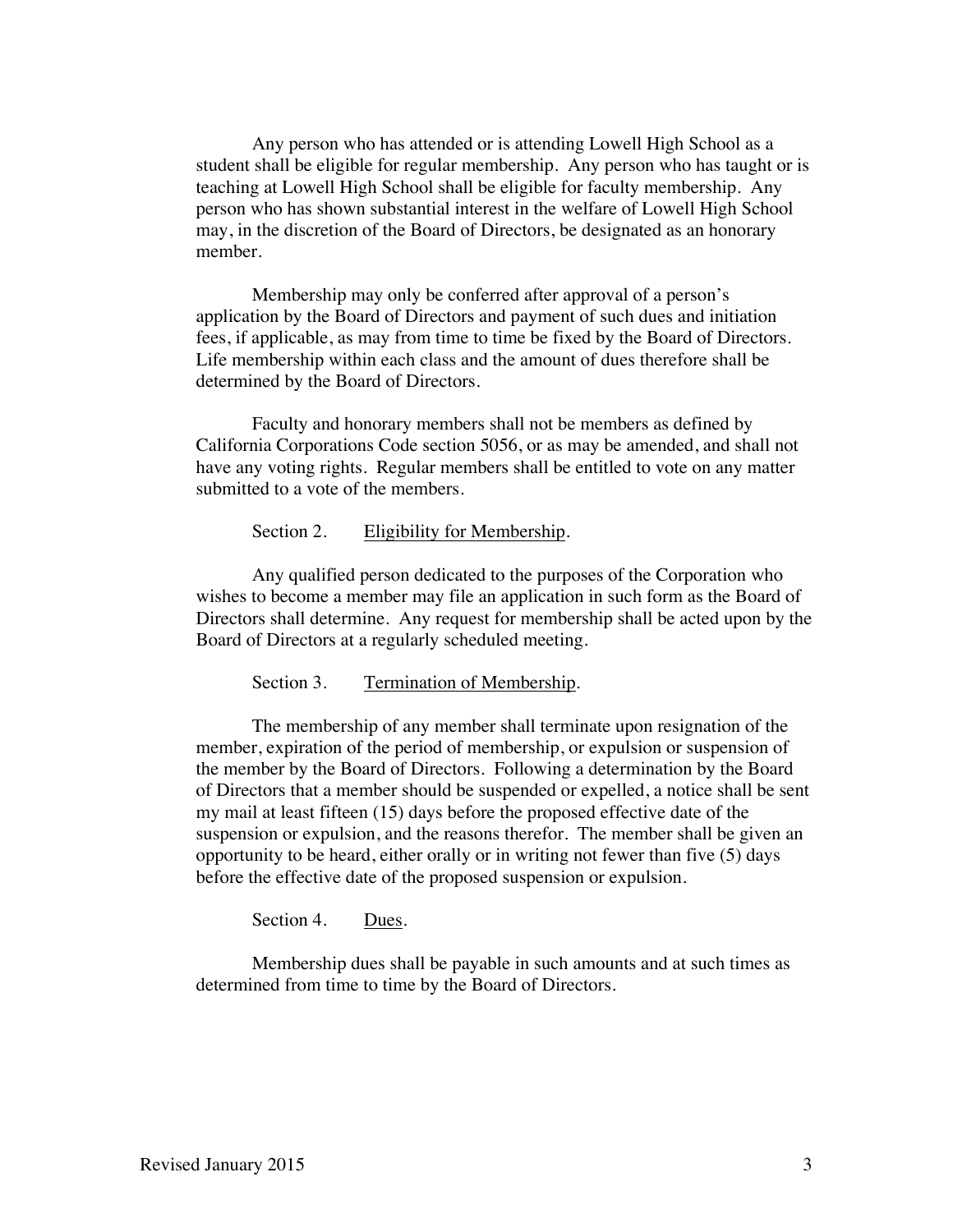Any person who has attended or is attending Lowell High School as a student shall be eligible for regular membership. Any person who has taught or is teaching at Lowell High School shall be eligible for faculty membership. Any person who has shown substantial interest in the welfare of Lowell High School may, in the discretion of the Board of Directors, be designated as an honorary member.

Membership may only be conferred after approval of a person's application by the Board of Directors and payment of such dues and initiation fees, if applicable, as may from time to time be fixed by the Board of Directors. Life membership within each class and the amount of dues therefore shall be determined by the Board of Directors.

Faculty and honorary members shall not be members as defined by California Corporations Code section 5056, or as may be amended, and shall not have any voting rights. Regular members shall be entitled to vote on any matter submitted to a vote of the members.

Section 2. Eligibility for Membership.

Any qualified person dedicated to the purposes of the Corporation who wishes to become a member may file an application in such form as the Board of Directors shall determine. Any request for membership shall be acted upon by the Board of Directors at a regularly scheduled meeting.

Section 3. Termination of Membership.

The membership of any member shall terminate upon resignation of the member, expiration of the period of membership, or expulsion or suspension of the member by the Board of Directors. Following a determination by the Board of Directors that a member should be suspended or expelled, a notice shall be sent my mail at least fifteen (15) days before the proposed effective date of the suspension or expulsion, and the reasons therefor. The member shall be given an opportunity to be heard, either orally or in writing not fewer than five (5) days before the effective date of the proposed suspension or expulsion.

Section 4. Dues.

Membership dues shall be payable in such amounts and at such times as determined from time to time by the Board of Directors.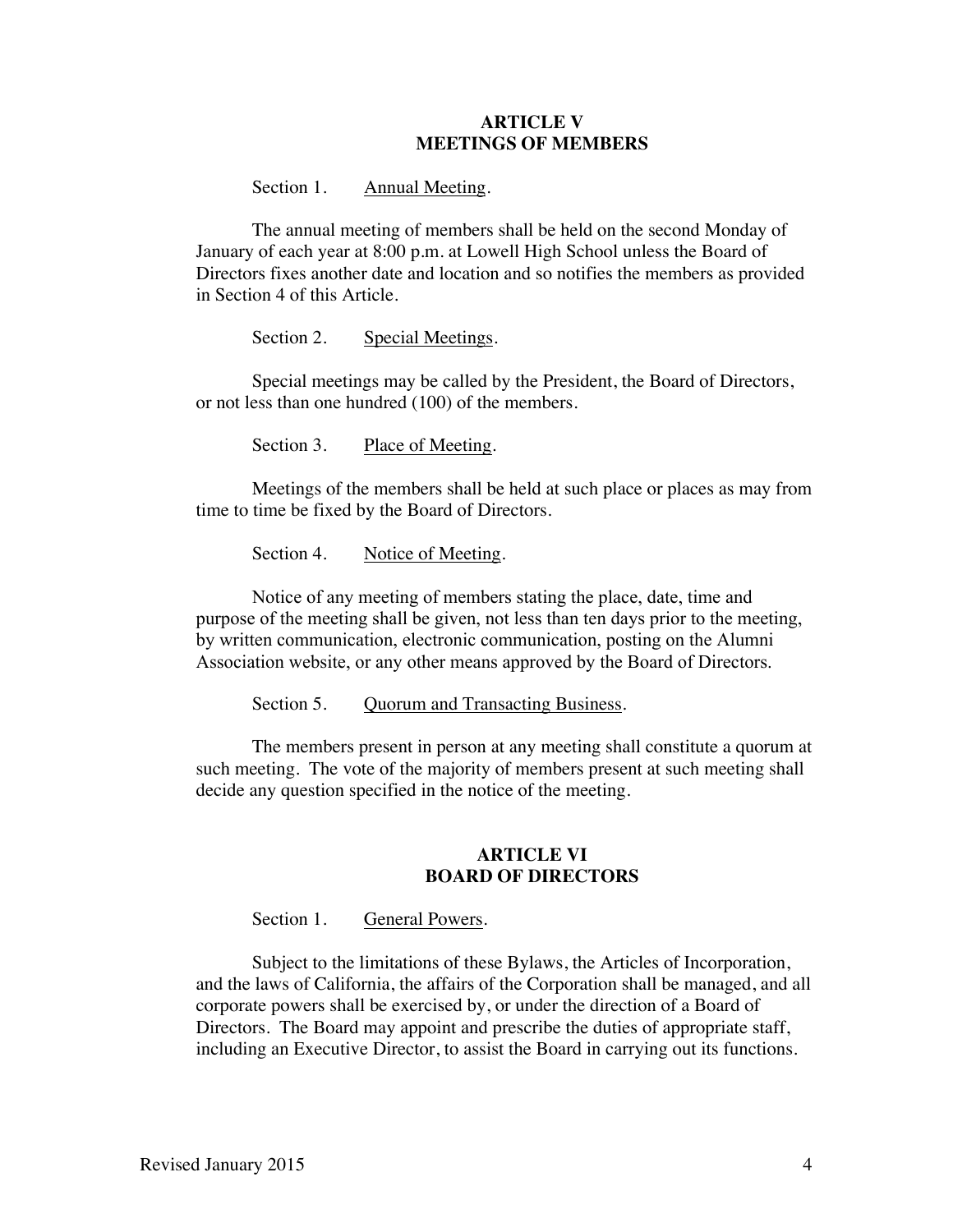## **ARTICLE V MEETINGS OF MEMBERS**

#### Section 1. Annual Meeting.

The annual meeting of members shall be held on the second Monday of January of each year at 8:00 p.m. at Lowell High School unless the Board of Directors fixes another date and location and so notifies the members as provided in Section 4 of this Article.

Section 2. Special Meetings.

Special meetings may be called by the President, the Board of Directors, or not less than one hundred (100) of the members.

Section 3. Place of Meeting.

Meetings of the members shall be held at such place or places as may from time to time be fixed by the Board of Directors.

Section 4. Notice of Meeting.

Notice of any meeting of members stating the place, date, time and purpose of the meeting shall be given, not less than ten days prior to the meeting, by written communication, electronic communication, posting on the Alumni Association website, or any other means approved by the Board of Directors.

Section 5. Quorum and Transacting Business.

The members present in person at any meeting shall constitute a quorum at such meeting. The vote of the majority of members present at such meeting shall decide any question specified in the notice of the meeting.

### **ARTICLE VI BOARD OF DIRECTORS**

Section 1. General Powers.

Subject to the limitations of these Bylaws, the Articles of Incorporation, and the laws of California, the affairs of the Corporation shall be managed, and all corporate powers shall be exercised by, or under the direction of a Board of Directors. The Board may appoint and prescribe the duties of appropriate staff, including an Executive Director, to assist the Board in carrying out its functions.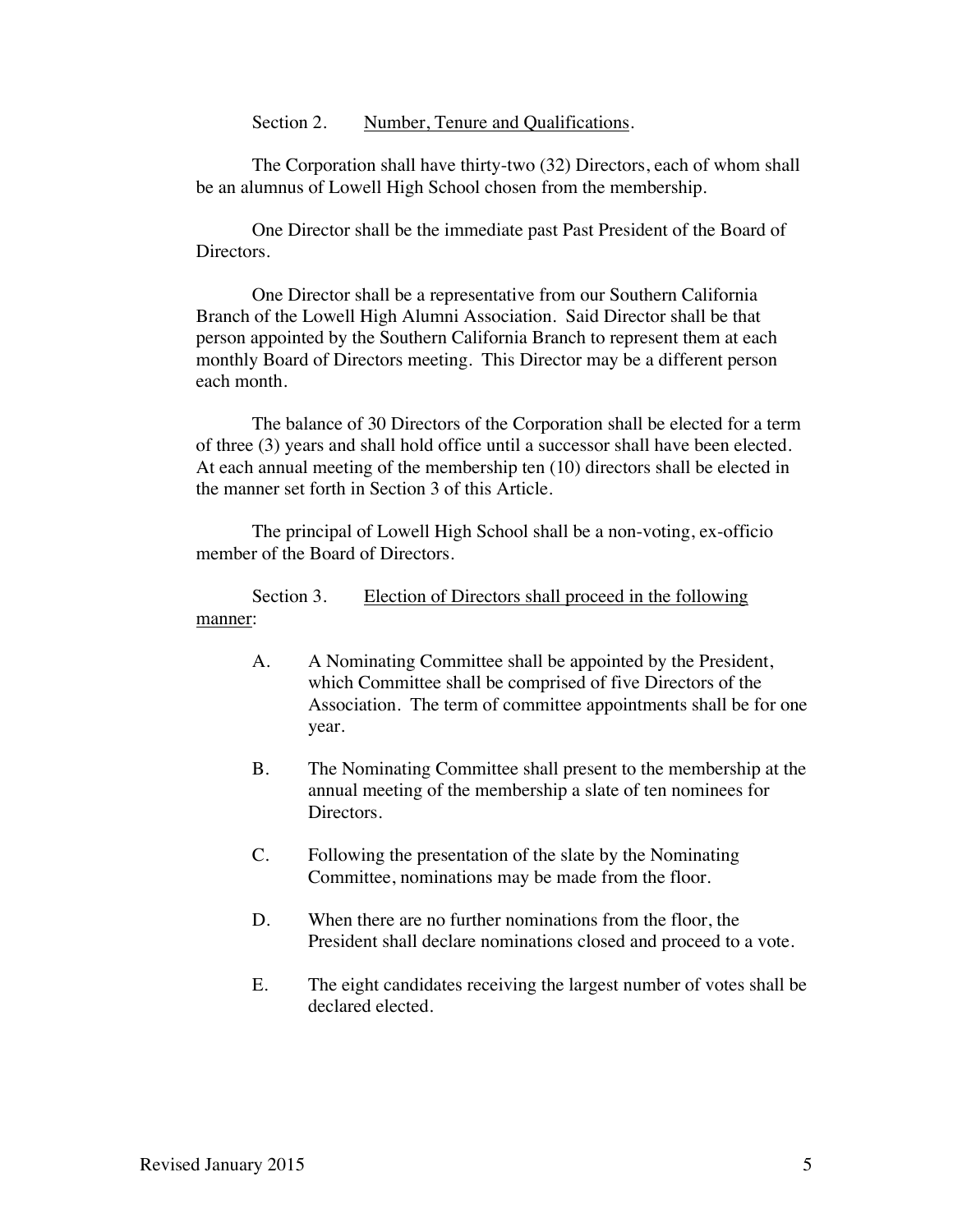Section 2. Number, Tenure and Qualifications.

The Corporation shall have thirty-two (32) Directors, each of whom shall be an alumnus of Lowell High School chosen from the membership.

One Director shall be the immediate past Past President of the Board of Directors.

One Director shall be a representative from our Southern California Branch of the Lowell High Alumni Association. Said Director shall be that person appointed by the Southern California Branch to represent them at each monthly Board of Directors meeting. This Director may be a different person each month.

The balance of 30 Directors of the Corporation shall be elected for a term of three (3) years and shall hold office until a successor shall have been elected. At each annual meeting of the membership ten (10) directors shall be elected in the manner set forth in Section 3 of this Article.

The principal of Lowell High School shall be a non-voting, ex-officio member of the Board of Directors.

Section 3. Election of Directors shall proceed in the following manner:

- A. A Nominating Committee shall be appointed by the President, which Committee shall be comprised of five Directors of the Association. The term of committee appointments shall be for one year.
- B. The Nominating Committee shall present to the membership at the annual meeting of the membership a slate of ten nominees for Directors.
- C. Following the presentation of the slate by the Nominating Committee, nominations may be made from the floor.
- D. When there are no further nominations from the floor, the President shall declare nominations closed and proceed to a vote.
- E. The eight candidates receiving the largest number of votes shall be declared elected.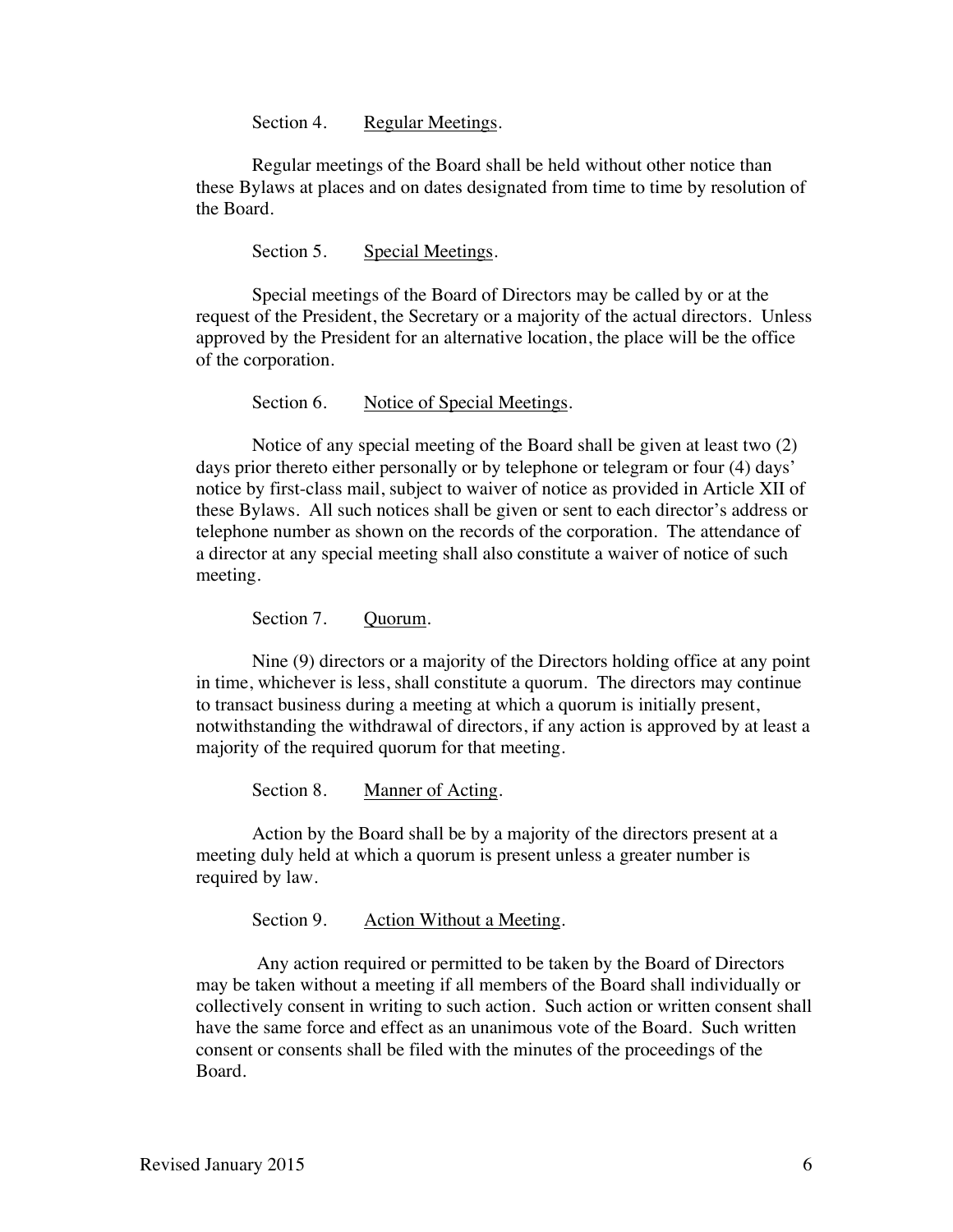Section 4. Regular Meetings.

Regular meetings of the Board shall be held without other notice than these Bylaws at places and on dates designated from time to time by resolution of the Board.

Section 5. Special Meetings.

Special meetings of the Board of Directors may be called by or at the request of the President, the Secretary or a majority of the actual directors. Unless approved by the President for an alternative location, the place will be the office of the corporation.

Section 6. Notice of Special Meetings.

Notice of any special meeting of the Board shall be given at least two (2) days prior thereto either personally or by telephone or telegram or four (4) days' notice by first-class mail, subject to waiver of notice as provided in Article XII of these Bylaws. All such notices shall be given or sent to each director's address or telephone number as shown on the records of the corporation. The attendance of a director at any special meeting shall also constitute a waiver of notice of such meeting.

Section 7. Quorum.

Nine (9) directors or a majority of the Directors holding office at any point in time, whichever is less, shall constitute a quorum. The directors may continue to transact business during a meeting at which a quorum is initially present, notwithstanding the withdrawal of directors, if any action is approved by at least a majority of the required quorum for that meeting.

Section 8. Manner of Acting.

Action by the Board shall be by a majority of the directors present at a meeting duly held at which a quorum is present unless a greater number is required by law.

Section 9. Action Without a Meeting.

Any action required or permitted to be taken by the Board of Directors may be taken without a meeting if all members of the Board shall individually or collectively consent in writing to such action. Such action or written consent shall have the same force and effect as an unanimous vote of the Board. Such written consent or consents shall be filed with the minutes of the proceedings of the Board.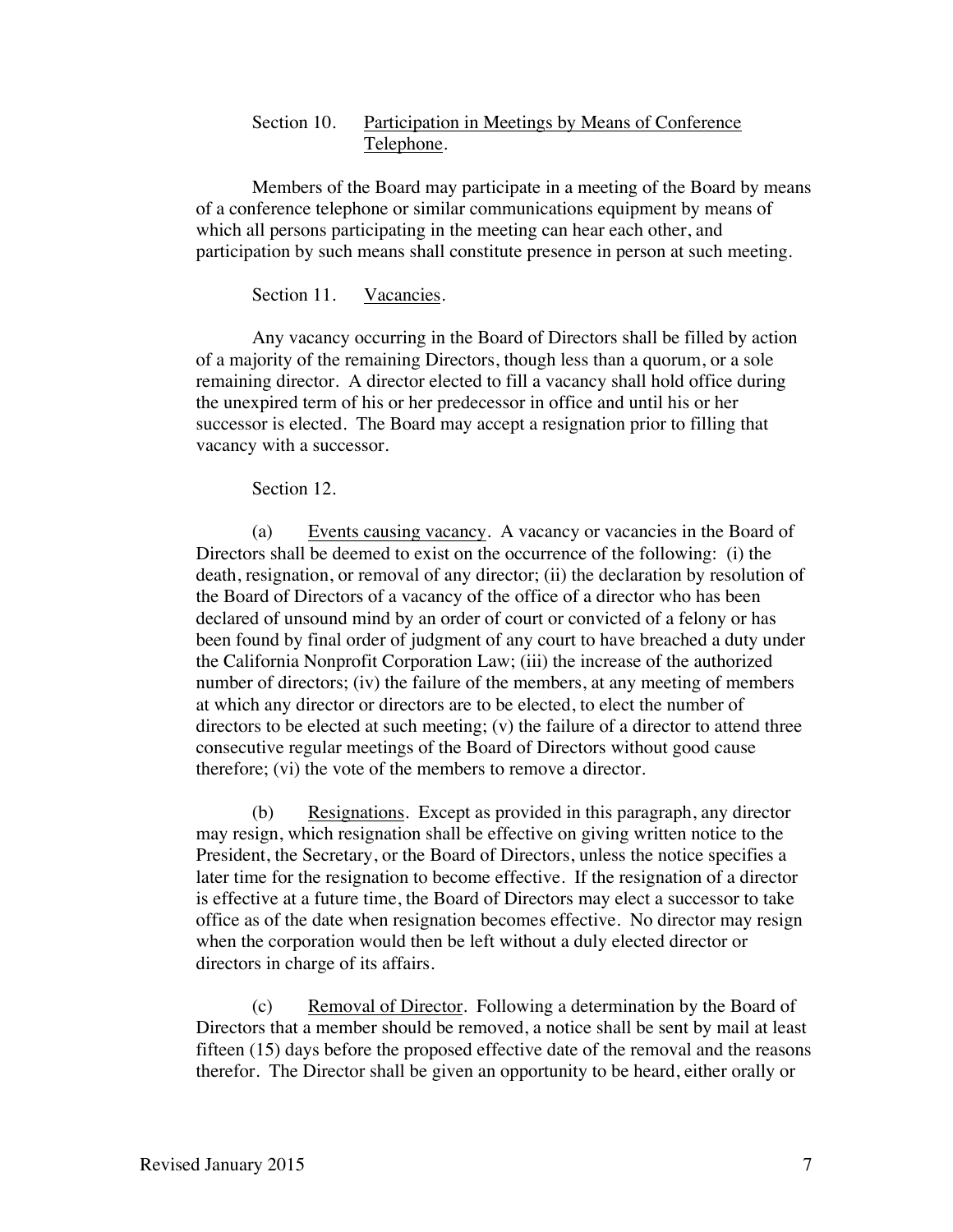## Section 10. Participation in Meetings by Means of Conference Telephone.

Members of the Board may participate in a meeting of the Board by means of a conference telephone or similar communications equipment by means of which all persons participating in the meeting can hear each other, and participation by such means shall constitute presence in person at such meeting.

Section 11. Vacancies.

Any vacancy occurring in the Board of Directors shall be filled by action of a majority of the remaining Directors, though less than a quorum, or a sole remaining director. A director elected to fill a vacancy shall hold office during the unexpired term of his or her predecessor in office and until his or her successor is elected. The Board may accept a resignation prior to filling that vacancy with a successor.

Section 12.

(a) Events causing vacancy. A vacancy or vacancies in the Board of Directors shall be deemed to exist on the occurrence of the following: (i) the death, resignation, or removal of any director; (ii) the declaration by resolution of the Board of Directors of a vacancy of the office of a director who has been declared of unsound mind by an order of court or convicted of a felony or has been found by final order of judgment of any court to have breached a duty under the California Nonprofit Corporation Law; (iii) the increase of the authorized number of directors; (iv) the failure of the members, at any meeting of members at which any director or directors are to be elected, to elect the number of directors to be elected at such meeting;  $(v)$  the failure of a director to attend three consecutive regular meetings of the Board of Directors without good cause therefore; (vi) the vote of the members to remove a director.

(b) Resignations. Except as provided in this paragraph, any director may resign, which resignation shall be effective on giving written notice to the President, the Secretary, or the Board of Directors, unless the notice specifies a later time for the resignation to become effective. If the resignation of a director is effective at a future time, the Board of Directors may elect a successor to take office as of the date when resignation becomes effective. No director may resign when the corporation would then be left without a duly elected director or directors in charge of its affairs.

(c) Removal of Director. Following a determination by the Board of Directors that a member should be removed, a notice shall be sent by mail at least fifteen (15) days before the proposed effective date of the removal and the reasons therefor. The Director shall be given an opportunity to be heard, either orally or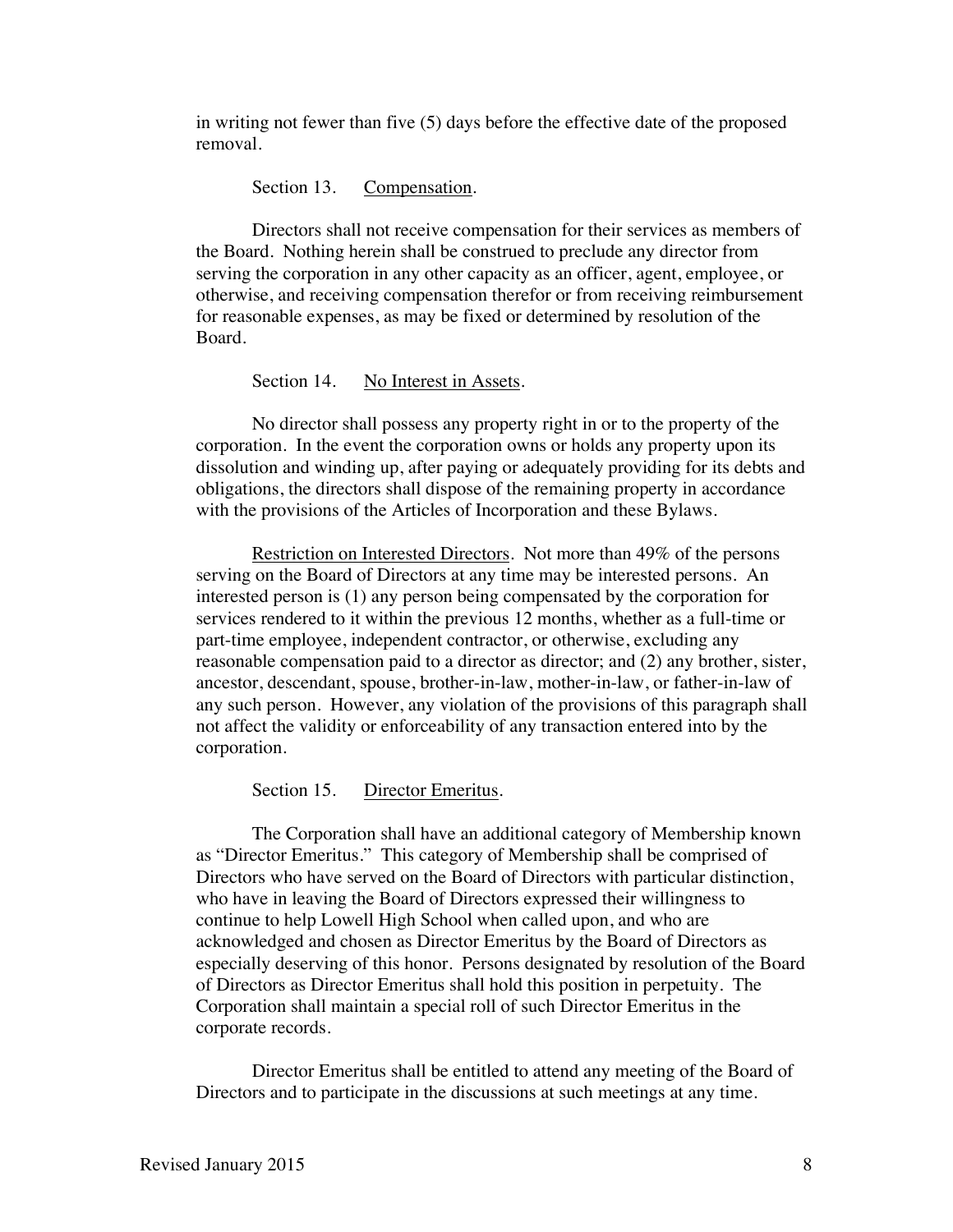in writing not fewer than five (5) days before the effective date of the proposed removal.

Section 13. Compensation.

Directors shall not receive compensation for their services as members of the Board. Nothing herein shall be construed to preclude any director from serving the corporation in any other capacity as an officer, agent, employee, or otherwise, and receiving compensation therefor or from receiving reimbursement for reasonable expenses, as may be fixed or determined by resolution of the Board.

#### Section 14. No Interest in Assets.

No director shall possess any property right in or to the property of the corporation. In the event the corporation owns or holds any property upon its dissolution and winding up, after paying or adequately providing for its debts and obligations, the directors shall dispose of the remaining property in accordance with the provisions of the Articles of Incorporation and these Bylaws.

Restriction on Interested Directors. Not more than 49% of the persons serving on the Board of Directors at any time may be interested persons. An interested person is (1) any person being compensated by the corporation for services rendered to it within the previous 12 months, whether as a full-time or part-time employee, independent contractor, or otherwise, excluding any reasonable compensation paid to a director as director; and (2) any brother, sister, ancestor, descendant, spouse, brother-in-law, mother-in-law, or father-in-law of any such person. However, any violation of the provisions of this paragraph shall not affect the validity or enforceability of any transaction entered into by the corporation.

Section 15. Director Emeritus.

The Corporation shall have an additional category of Membership known as "Director Emeritus." This category of Membership shall be comprised of Directors who have served on the Board of Directors with particular distinction, who have in leaving the Board of Directors expressed their willingness to continue to help Lowell High School when called upon, and who are acknowledged and chosen as Director Emeritus by the Board of Directors as especially deserving of this honor. Persons designated by resolution of the Board of Directors as Director Emeritus shall hold this position in perpetuity. The Corporation shall maintain a special roll of such Director Emeritus in the corporate records.

Director Emeritus shall be entitled to attend any meeting of the Board of Directors and to participate in the discussions at such meetings at any time.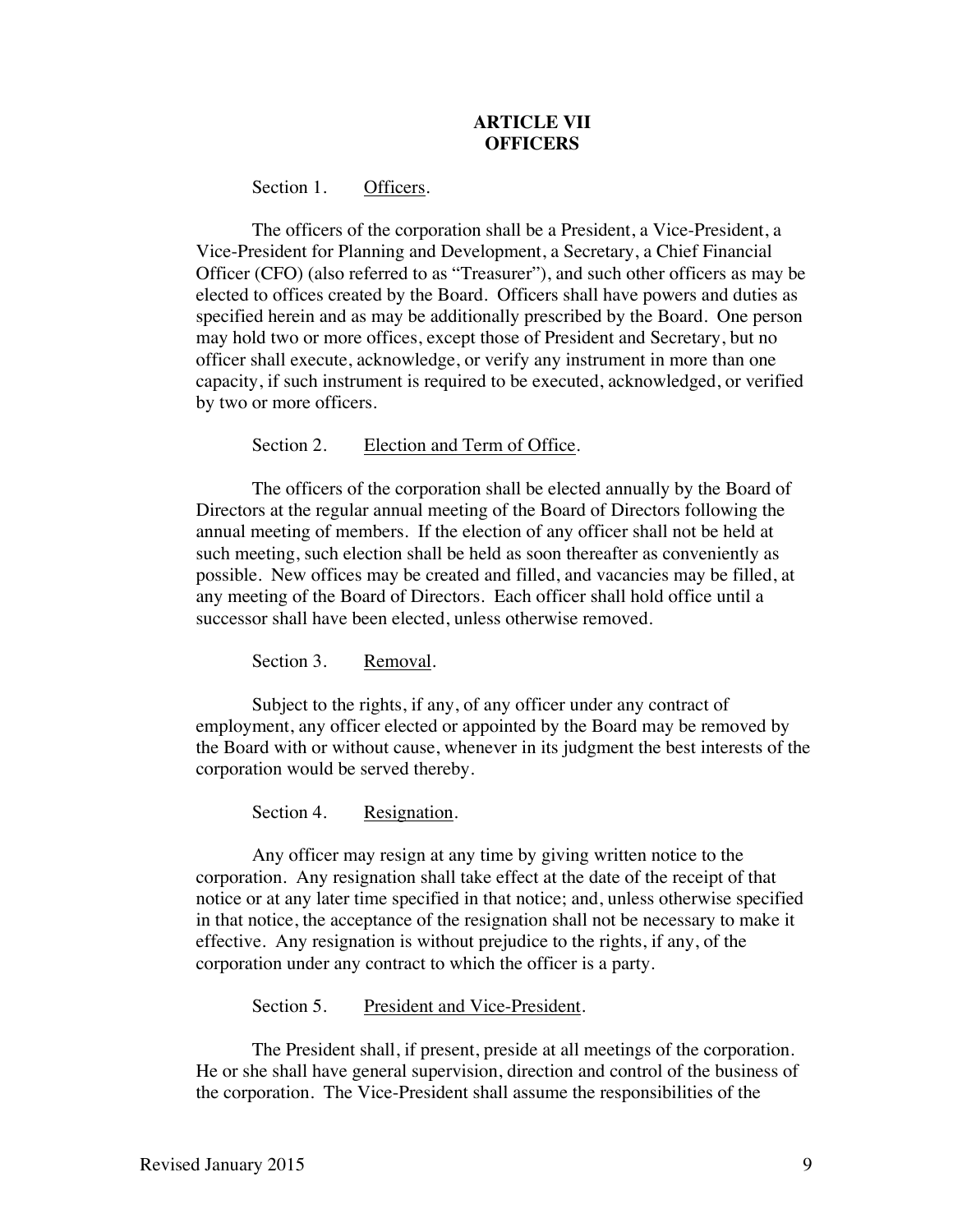# **ARTICLE VII OFFICERS**

Section 1. Officers.

The officers of the corporation shall be a President, a Vice-President, a Vice-President for Planning and Development, a Secretary, a Chief Financial Officer (CFO) (also referred to as "Treasurer"), and such other officers as may be elected to offices created by the Board. Officers shall have powers and duties as specified herein and as may be additionally prescribed by the Board. One person may hold two or more offices, except those of President and Secretary, but no officer shall execute, acknowledge, or verify any instrument in more than one capacity, if such instrument is required to be executed, acknowledged, or verified by two or more officers.

Section 2. Election and Term of Office.

The officers of the corporation shall be elected annually by the Board of Directors at the regular annual meeting of the Board of Directors following the annual meeting of members. If the election of any officer shall not be held at such meeting, such election shall be held as soon thereafter as conveniently as possible. New offices may be created and filled, and vacancies may be filled, at any meeting of the Board of Directors. Each officer shall hold office until a successor shall have been elected, unless otherwise removed.

Section 3. Removal.

Subject to the rights, if any, of any officer under any contract of employment, any officer elected or appointed by the Board may be removed by the Board with or without cause, whenever in its judgment the best interests of the corporation would be served thereby.

Section 4. Resignation.

Any officer may resign at any time by giving written notice to the corporation. Any resignation shall take effect at the date of the receipt of that notice or at any later time specified in that notice; and, unless otherwise specified in that notice, the acceptance of the resignation shall not be necessary to make it effective. Any resignation is without prejudice to the rights, if any, of the corporation under any contract to which the officer is a party.

Section 5. President and Vice-President.

The President shall, if present, preside at all meetings of the corporation. He or she shall have general supervision, direction and control of the business of the corporation. The Vice-President shall assume the responsibilities of the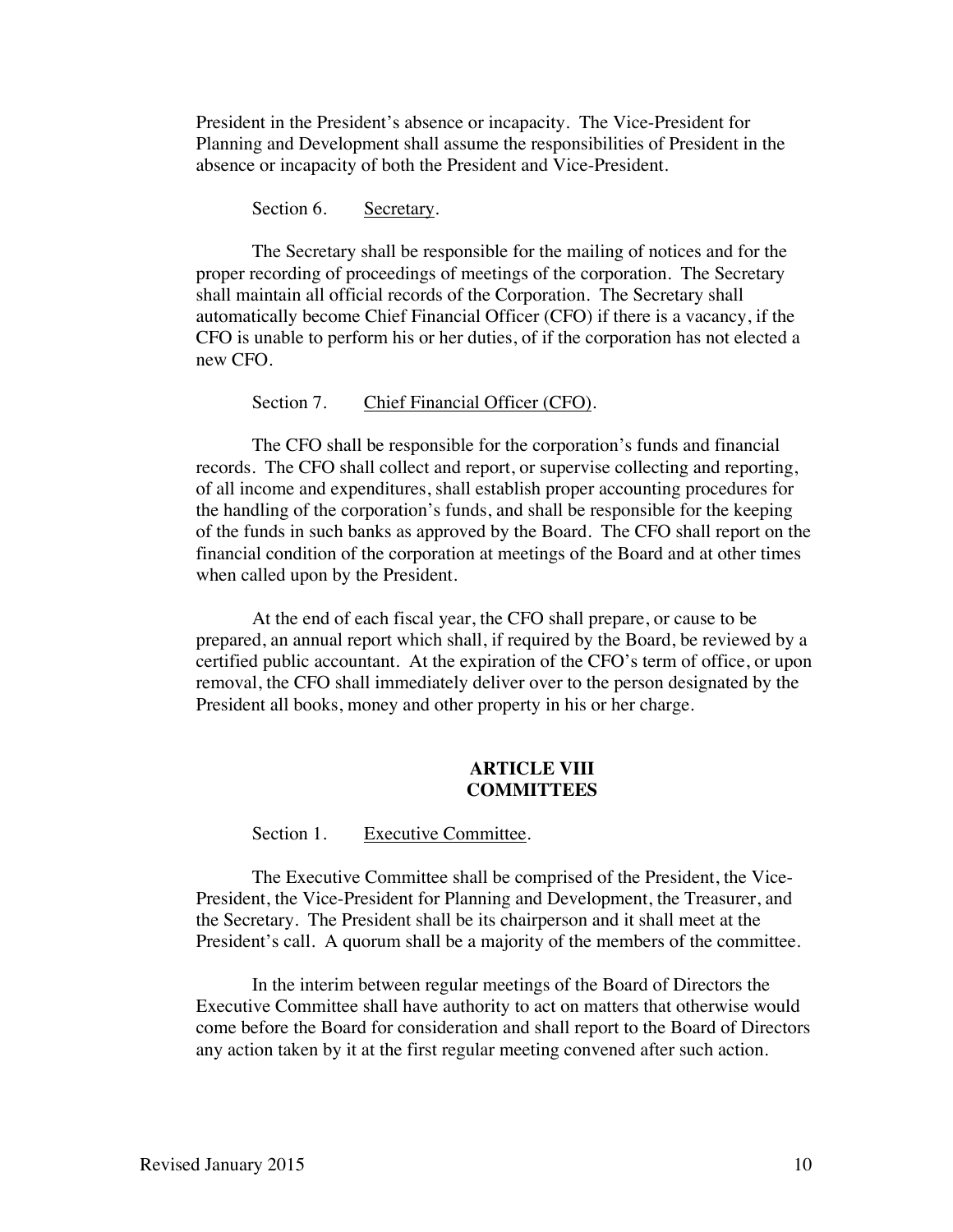President in the President's absence or incapacity. The Vice-President for Planning and Development shall assume the responsibilities of President in the absence or incapacity of both the President and Vice-President.

Section 6. Secretary.

The Secretary shall be responsible for the mailing of notices and for the proper recording of proceedings of meetings of the corporation. The Secretary shall maintain all official records of the Corporation. The Secretary shall automatically become Chief Financial Officer (CFO) if there is a vacancy, if the CFO is unable to perform his or her duties, of if the corporation has not elected a new CFO.

Section 7. Chief Financial Officer (CFO).

The CFO shall be responsible for the corporation's funds and financial records. The CFO shall collect and report, or supervise collecting and reporting, of all income and expenditures, shall establish proper accounting procedures for the handling of the corporation's funds, and shall be responsible for the keeping of the funds in such banks as approved by the Board. The CFO shall report on the financial condition of the corporation at meetings of the Board and at other times when called upon by the President.

At the end of each fiscal year, the CFO shall prepare, or cause to be prepared, an annual report which shall, if required by the Board, be reviewed by a certified public accountant. At the expiration of the CFO's term of office, or upon removal, the CFO shall immediately deliver over to the person designated by the President all books, money and other property in his or her charge.

## **ARTICLE VIII COMMITTEES**

Section 1. Executive Committee.

The Executive Committee shall be comprised of the President, the Vice-President, the Vice-President for Planning and Development, the Treasurer, and the Secretary. The President shall be its chairperson and it shall meet at the President's call. A quorum shall be a majority of the members of the committee.

In the interim between regular meetings of the Board of Directors the Executive Committee shall have authority to act on matters that otherwise would come before the Board for consideration and shall report to the Board of Directors any action taken by it at the first regular meeting convened after such action.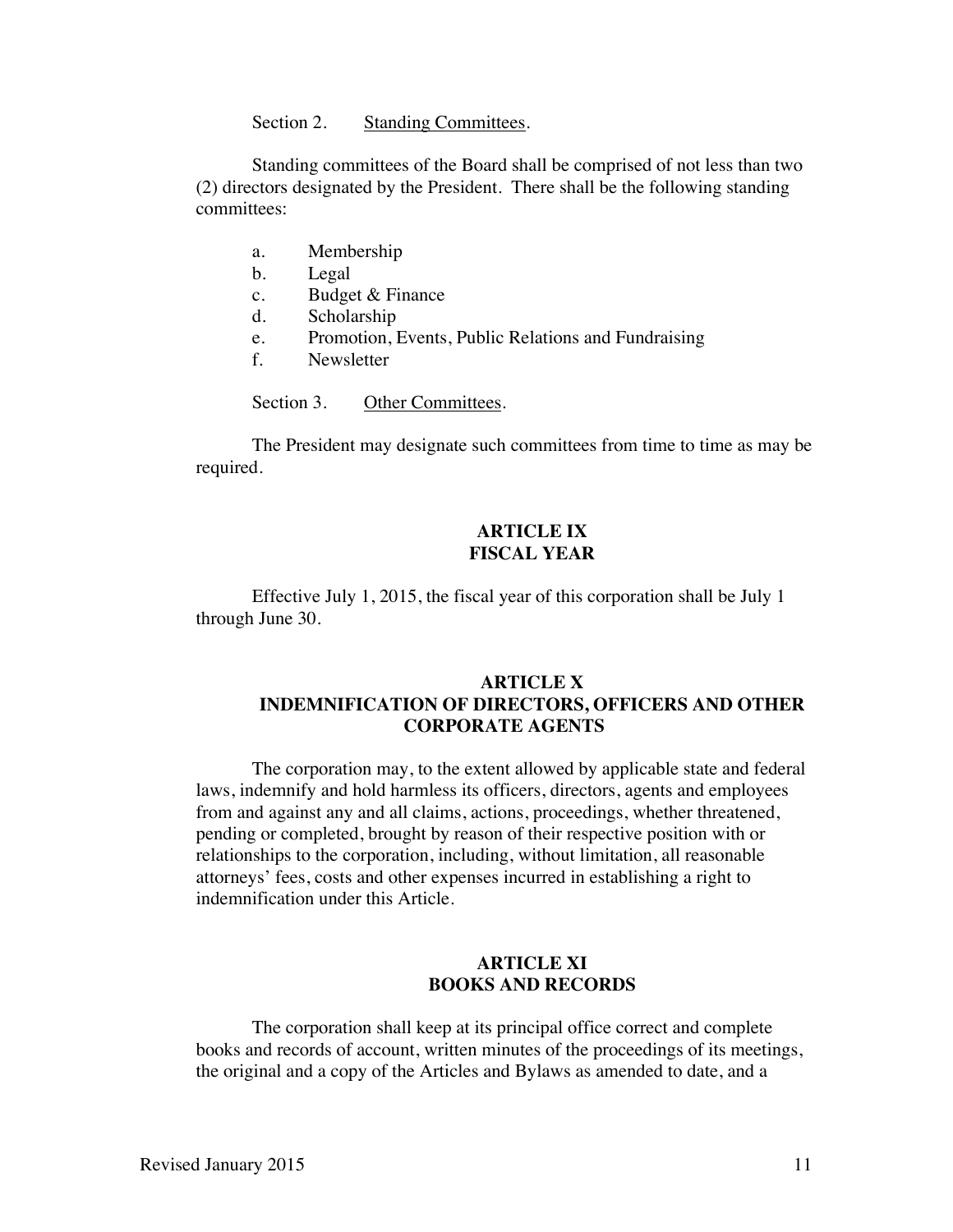Section 2. Standing Committees.

Standing committees of the Board shall be comprised of not less than two (2) directors designated by the President. There shall be the following standing committees:

- a. Membership
- b. Legal
- c. Budget & Finance
- d. Scholarship
- e. Promotion, Events, Public Relations and Fundraising
- f. Newsletter

Section 3. Other Committees.

The President may designate such committees from time to time as may be required.

# **ARTICLE IX FISCAL YEAR**

Effective July 1, 2015, the fiscal year of this corporation shall be July 1 through June 30.

## **ARTICLE X INDEMNIFICATION OF DIRECTORS, OFFICERS AND OTHER CORPORATE AGENTS**

The corporation may, to the extent allowed by applicable state and federal laws, indemnify and hold harmless its officers, directors, agents and employees from and against any and all claims, actions, proceedings, whether threatened, pending or completed, brought by reason of their respective position with or relationships to the corporation, including, without limitation, all reasonable attorneys' fees, costs and other expenses incurred in establishing a right to indemnification under this Article.

### **ARTICLE XI BOOKS AND RECORDS**

The corporation shall keep at its principal office correct and complete books and records of account, written minutes of the proceedings of its meetings, the original and a copy of the Articles and Bylaws as amended to date, and a